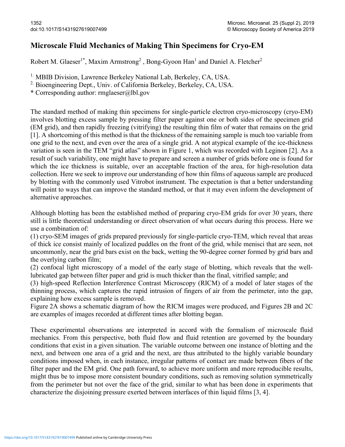## Microscale Fluid Mechanics of Making Thin Specimens for Cryo-EM

Robert M. Glaeser<sup>1\*</sup>, Maxim Armstrong<sup>2</sup>, Bong-Gyoon Han<sup>1</sup> and Daniel A. Fletcher<sup>2</sup>

<sup>1.</sup> MBIB Division, Lawrence Berkeley National Lab, Berkeley, CA, USA.

<sup>2.</sup> Bioengineering Dept., Univ. of California Berkeley, Berkeley, CA, USA.

\* Corresponding author: rmglaeser@lbl.gov

The standard method of making thin specimens for single-particle electron cryo-microscopy (cryo-EM) involves blotting excess sample by pressing filter paper against one or both sides of the specimen grid (EM grid), and then rapidly freezing (vitrifying) the resulting thin film of water that remains on the grid [1]. A shortcoming of this method is that the thickness of the remaining sample is much too variable from one grid to the next, and even over the area of a single grid. A not atypical example of the ice-thickness variation is seen in the TEM "grid atlas" shown in Figure 1, which was recorded with Leginon [2]. As a result of such variability, one might have to prepare and screen a number of grids before one is found for which the ice thickness is suitable, over an acceptable fraction of the area, for high-resolution data collection. Here we seek to improve our understanding of how thin films of aqueous sample are produced by blotting with the commonly used Vitrobot instrument. The expectation is that a better understanding will point to ways that can improve the standard method, or that it may even inform the development of alternative approaches.

Although blotting has been the established method of preparing cryo-EM grids for over 30 years, there still is little theoretical understanding or direct observation of what occurs during this process. Here we use a combination of:

(1) cryo-SEM images of grids prepared previously for single-particle cryo-TEM, which reveal that areas of thick ice consist mainly of localized puddles on the front of the grid, while menisci that are seen, not uncommonly, near the grid bars exist on the back, wetting the 90-degree corner formed by grid bars and the overlying carbon film;

(2) confocal light microscopy of a model of the early stage of blotting, which reveals that the welllubricated gap between filter paper and grid is much thicker than the final, vitrified sample; and

(3) high-speed Reflection Interference Contrast Microscopy (RICM) of a model of later stages of the thinning process, which captures the rapid intrusion of fingers of air from the perimeter, into the gap, explaining how excess sample is removed.

Figure 2A shows a schematic diagram of how the RICM images were produced, and Figures 2B and 2C are examples of images recorded at different times after blotting began.

These experimental observations are interpreted in accord with the formalism of microscale fluid mechanics. From this perspective, both fluid flow and fluid retention are governed by the boundary conditions that exist in a given situation. The variable outcome between one instance of blotting and the next, and between one area of a grid and the next, are thus attributed to the highly variable boundary conditions imposed when, in each instance, irregular patterns of contact are made between fibers of the filter paper and the EM grid. One path forward, to achieve more uniform and more reproducible results, might thus be to impose more consistent boundary conditions, such as removing solution symmetrically from the perimeter but not over the face of the grid, similar to what has been done in experiments that characterize the disjoining pressure exerted between interfaces of thin liquid films [3, 4].